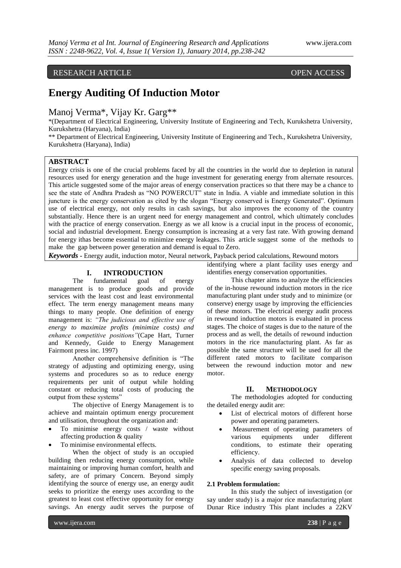# RESEARCH ARTICLE OPEN ACCESS

# **Energy Auditing Of Induction Motor**

Manoj Verma\*, Vijay Kr. Garg\*\*

\*(Department of Electrical Engineering, University Institute of Engineering and Tech, Kurukshetra University, Kurukshetra (Haryana), India)

\*\* Department of Electrical Engineering, University Institute of Engineering and Tech., Kurukshetra University, Kurukshetra (Haryana), India)

## **ABSTRACT**

Energy crisis is one of the crucial problems faced by all the countries in the world due to depletion in natural resources used for energy generation and the huge investment for generating energy from alternate resources. This article suggested some of the major areas of energy conservation practices so that there may be a chance to see the state of Andhra Pradesh as "NO POWERCUT" state in India. A viable and immediate solution in this juncture is the energy conservation as cited by the slogan "Energy conserved is Energy Generated". Optimum use of electrical energy, not only results in cash savings, but also improves the economy of the country substantially. Hence there is an urgent need for energy management and control, which ultimately concludes with the practice of energy conservation. Energy as we all know is a crucial input in the process of economic, social and industrial development. Energy consumption is increasing at a very fast rate. With growing demand for energy ithas become essential to minimize energy leakages. This article suggest some of the methods to make the gap between power generation and demand is equal to Zero.

*Keywords* **-** Energy audit, induction motor, Neural network, Payback period calculations, Rewound motors

#### **I. INTRODUCTION**

The fundamental goal of energy management is to produce goods and provide services with the least cost and least environmental effect. The term energy management means many things to many people. One definition of energy management is: *"The judicious and effective use of energy to maximize profits (minimize costs) and enhance competitive positions"*(Cape Hart, Turner and Kennedy, Guide to Energy Management Fairmont press inc. 1997)

Another comprehensive definition is "The strategy of adjusting and optimizing energy, using systems and procedures so as to reduce energy requirements per unit of output while holding constant or reducing total costs of producing the output from these systems"

The objective of Energy Management is to achieve and maintain optimum energy procurement and utilisation, throughout the organization and:

- To minimise energy costs / waste without affecting production & quality
- To minimise environmental effects.

When the object of study is an occupied building then reducing energy consumption, while maintaining or improving human comfort, health and safety, are of primary Concern. Beyond simply identifying the source of energy use, an energy audit seeks to prioritize the energy uses according to the greatest to least cost effective opportunity for energy savings. An energy audit serves the purpose of identifying where a plant facility uses energy and identifies energy conservation opportunities.

This chapter aims to analyze the efficiencies of the in-house rewound induction motors in the rice manufacturing plant under study and to minimize (or conserve) energy usage by improving the efficiencies of these motors. The electrical energy audit process in rewound induction motors is evaluated in process stages. The choice of stages is due to the nature of the process and as well, the details of rewound induction motors in the rice manufacturing plant. As far as possible the same structure will be used for all the different rated motors to facilitate comparison between the rewound induction motor and new motor.

#### **II. METHODOLOGY**

The methodologies adopted for conducting the detailed energy audit are:

- List of electrical motors of different horse power and operating parameters.
- Measurement of operating parameters of various equipments under different conditions, to estimate their operating efficiency.
- Analysis of data collected to develop specific energy saving proposals.

#### **2.1 Problem formulation:**

In this study the subject of investigation (or say under study) is a major rice manufacturing plant Dunar Rice industry This plant includes a 22KV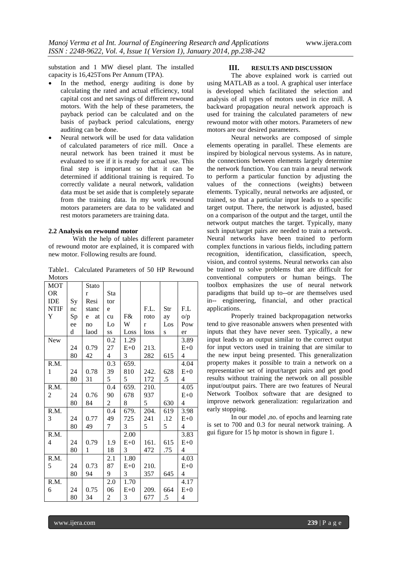substation and 1 MW diesel plant. The installed capacity is 16,425Tons Per Annum (TPA).

- In the method, energy auditing is done by calculating the rated and actual efficiency, total capital cost and net savings of different rewound motors. With the help of these parameters, the payback period can be calculated and on the basis of payback period calculations, energy auditing can be done.
- Neural network will be used for data validation of calculated parameters of rice mill. Once a neural network has been trained it must be evaluated to see if it is ready for actual use. This final step is important so that it can be determined if additional training is required. To correctly validate a neural network, validation data must be set aside that is completely separate from the training data. In my work rewound motors parameters are data to be validated and rest motors parameters are training data.

#### **2.2 Analysis on rewound motor**

With the help of tables different parameter of rewound motor are explained, it is compared with new motor. Following results are found.

Table1. Calculated Parameters of 50 HP Rewound **Motors** 

| <b>MOT</b>     |    | Stato   |                  |       |      |           |                |
|----------------|----|---------|------------------|-------|------|-----------|----------------|
| <b>OR</b>      |    | r       | Sta              |       |      |           |                |
| <b>IDE</b>     | Sy | Resi    | tor              |       |      |           |                |
| <b>NTIF</b>    | nc | stanc   | e                |       | F.L. | Str       | F.L            |
| Y              | Sp | at<br>e | cu               | F&    | roto | ay        | o/p            |
|                | ee | no      | Lo               | W     | r    | Los       | Pow            |
|                | d  | laod    | SS               | Loss  | loss | ${\bf S}$ | er             |
| New            |    |         | 0.2              | 1.29  |      |           | 3.89           |
|                | 24 | 0.79    | 27               | $E+0$ | 213. |           | $E+0$          |
|                | 80 | 42      | 4                | 3     | 282  | 615       | 4              |
| R.M.           |    |         | 0.3              | 659.  |      |           | 4.04           |
| 1              | 24 | 0.78    | 39               | 810   | 242. | 628       | $E+0$          |
|                | 80 | 31      | 5                | 5     | 172  | $.5\,$    | 4              |
| R.M.           |    |         | 0.4              | 659.  | 210. |           | 4.05           |
| $\overline{c}$ | 24 | 0.76    | 90               | 678   | 937  |           | $E+0$          |
|                | 80 | 84      | $\overline{c}$   | 8     | 5    | 630       | $\overline{4}$ |
| R.M.           |    |         | 0.4              | 679.  | 204. | 619       | 3.98           |
| 3              | 24 | 0.77    | 49               | 725   | 241  | .12       | $E+0$          |
|                | 80 | 49      | 7                | 3     | 5    | 5         | $\overline{4}$ |
| R.M.           |    |         |                  | 2.00  |      |           | 3.83           |
| 4              | 24 | 0.79    | 1.9              | $E+0$ | 161. | 615       | $E+0$          |
|                | 80 | 1       | 18               | 3     | 472  | .75       | 4              |
| R.M.           |    |         | 2.1              | 1.80  |      |           | 4.03           |
| 5              | 24 | 0.73    | 87               | $E+0$ | 210. |           | $E+0$          |
|                | 80 | 94      | 9                | 3     | 357  | 645       | 4              |
| R.M.           |    |         | $\overline{2.0}$ | 1.70  |      |           | 4.17           |
| 6              | 24 | 0.75    | 06               | $E+0$ | 209. | 664       | $E+0$          |
|                | 80 | 34      | 2                | 3     | 677  | $\cdot$ 5 | 4              |

#### **III. RESULTS AND DISCUSSION**

The above explained work is carried out using MATLAB as a tool. A graphical user interface is developed which facilitated the selection and analysis of all types of motors used in rice mill. A backward propagation neural network approach is used for training the calculated parameters of new rewound motor with other motors. Parameters of new motors are our desired parameters.

Neural networks are composed of simple elements operating in parallel. These elements are inspired by biological nervous systems. As in nature, the connections between elements largely determine the network function. You can train a neural network to perform a particular function by adjusting the values of the connections (weights) between elements. Typically, neural networks are adjusted, or trained, so that a particular input leads to a specific target output. There, the network is adjusted, based on a comparison of the output and the target, until the network output matches the target. Typically, many such input/target pairs are needed to train a network. Neural networks have been trained to perform complex functions in various fields, including pattern recognition, identification, classification, speech, vision, and control systems. Neural networks can also be trained to solve problems that are difficult for conventional computers or human beings. The toolbox emphasizes the use of neural network paradigms that build up to--or are themselves used in-- engineering, financial, and other practical applications.

Properly trained backpropagation networks tend to give reasonable answers when presented with inputs that they have never seen. Typically, a new input leads to an output similar to the correct output for input vectors used in training that are similar to the new input being presented. This generalization property makes it possible to train a network on a representative set of input/target pairs and get good results without training the network on all possible input/output pairs. There are two features of Neural Network Toolbox software that are designed to improve network generalization: regularization and early stopping.

In our model ,no. of epochs and learning rate is set to 700 and 0.3 for neural network training. A gui figure for 15 hp motor is shown in figure 1.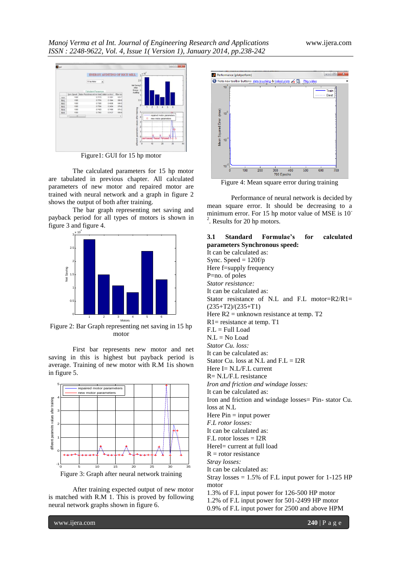

The calculated parameters for 15 hp motor are tabulated in previous chapter. All calculated parameters of new motor and repaired motor are trained with neural network and a graph in figure 2 shows the output of both after training.

The bar graph representing net saving and payback period for all types of motors is shown in figure 3 and figure 4.



Figure 2: Bar Graph representing net saving in 15 hp motor

First bar represents new motor and net saving in this is highest but payback period is average. Training of new motor with R.M 1is shown in figure 5.



After training expected output of new motor is matched with R.M 1. This is proved by following neural network graphs shown in figure 6.



Figure 4: Mean square error during training

Performance of neural network is decided by mean square error. It should be decreasing to a minimum error. For 15 hp motor value of MSE is 10<sup>-</sup> <sup>2</sup>. Results for 20 hp motors.

| Standard Formulae's<br>for calculated<br>3.1           |  |  |  |  |  |  |  |
|--------------------------------------------------------|--|--|--|--|--|--|--|
| parameters Synchronous speed:                          |  |  |  |  |  |  |  |
| It can be calculated as:                               |  |  |  |  |  |  |  |
| Sync. Speed = $120f/p$                                 |  |  |  |  |  |  |  |
| Here f=supply frequency                                |  |  |  |  |  |  |  |
| P=no. of poles                                         |  |  |  |  |  |  |  |
| Stator resistance:                                     |  |  |  |  |  |  |  |
| It can be calculated as:                               |  |  |  |  |  |  |  |
| Stator resistance of N.L and F.L motor= $R2/R1$ =      |  |  |  |  |  |  |  |
| $(235+T2)/(235+T1)$                                    |  |  |  |  |  |  |  |
| Here $R2$ = unknown resistance at temp. T2             |  |  |  |  |  |  |  |
| $R1$ = resistance at temp. T1                          |  |  |  |  |  |  |  |
| $F.L = Full Load$                                      |  |  |  |  |  |  |  |
| $N.L = No Load$                                        |  |  |  |  |  |  |  |
| Stator Cu. loss:                                       |  |  |  |  |  |  |  |
| It can be calculated as:                               |  |  |  |  |  |  |  |
| Stator Cu. loss at N.L and $F.L = I2R$                 |  |  |  |  |  |  |  |
| Here $I = N.L/F.L$ current                             |  |  |  |  |  |  |  |
| R= N.L/F.L resistance                                  |  |  |  |  |  |  |  |
| Iron and friction and windage losses:                  |  |  |  |  |  |  |  |
| It can be calculated as:                               |  |  |  |  |  |  |  |
| Iron and friction and windage losses = Pin-stator Cu.  |  |  |  |  |  |  |  |
| loss at N.L.                                           |  |  |  |  |  |  |  |
| Here $Pin = input power$                               |  |  |  |  |  |  |  |
| <i>F.L. rotor losses:</i>                              |  |  |  |  |  |  |  |
| It can be calculated as:                               |  |  |  |  |  |  |  |
| $F.L$ rotor losses = $I2R$                             |  |  |  |  |  |  |  |
| $HereI = current$ at full load                         |  |  |  |  |  |  |  |
| $R =$ rotor resistance                                 |  |  |  |  |  |  |  |
| Stray losses:                                          |  |  |  |  |  |  |  |
| It can be calculated as:                               |  |  |  |  |  |  |  |
| Stray losses = $1.5\%$ of F.L input power for 1-125 HP |  |  |  |  |  |  |  |
| motor                                                  |  |  |  |  |  |  |  |
| 1.3% of F.L input power for 126-500 HP motor           |  |  |  |  |  |  |  |
| 1.2% of F.L input power for 501-2499 HP motor          |  |  |  |  |  |  |  |

0.9% of F.L input power for 2500 and above HPM

www.ijera.com **240** | P a g e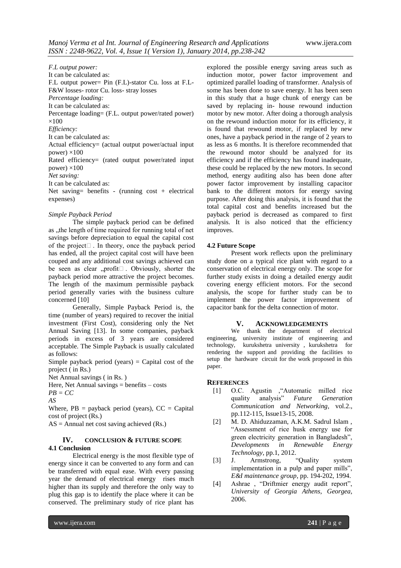*F.L output power:* It can be calculated as: F.L output power= Pin (F.L)-stator Cu. loss at F.L-F&W losses- rotor Cu. loss- stray losses *Percentage loading:* It can be calculated as: Percentage loading= (F.L. output power/rated power)  $\times100$ *Efficiency:* It can be calculated as: Actual efficiency= (actual output power/actual input power)  $\times$ 100 Rated efficiency= (rated output power/rated input power)  $\times$ 100 *Net saving:* It can be calculated as: Net saving= benefits - (running cost + electrical expenses)

#### *Simple Payback Period*

The simple payback period can be defined as , the length of time required for running total of net savings before depreciation to equal the capital cost of the project  $\Box$ . In theory, once the payback period has ended, all the project capital cost will have been couped and any additional cost savings achieved can be seen as clear "profit $\square$ . Obviously, shorter the payback period more attractive the project becomes. The length of the maximum permissible payback period generally varies with the business culture concerned [10]

Generally, Simple Payback Period is, the time (number of years) required to recover the initial investment (First Cost), considering only the Net Annual Saving [13]. In some companies, payback periods in excess of 3 years are considered acceptable. The Simple Payback is usually calculated as follows:

Simple payback period (years) = Capital cost of the project ( in Rs.)

Net Annual savings ( in Rs. )

Here, Net Annual savings  $=$  benefits  $-$  costs

*PB = CC*

*AS*

Where,  $PB = payback period (years)$ ,  $CC = Capital$ cost of project (Rs.)

 $AS =$  Annual net cost saving achieved (Rs.)

#### **IV. CONCLUSION & FUTURE SCOPE 4.1 Conclusion**

Electrical energy is the most flexible type of energy since it can be converted to any form and can be transferred with equal ease. With every passing year the demand of electrical energy rises much higher than its supply and therefore the only way to plug this gap is to identify the place where it can be conserved. The preliminary study of rice plant has

explored the possible energy saving areas such as induction motor, power factor improvement and optimized parallel loading of transformer. Analysis of some has been done to save energy. It has been seen in this study that a huge chunk of energy can be saved by replacing in- house rewound induction motor by new motor. After doing a thorough analysis on the rewound induction motor for its efficiency, it is found that rewound motor, if replaced by new ones, have a payback period in the range of 2 years to as less as 6 months. It is therefore recommended that the rewound motor should be analyzed for its efficiency and if the efficiency has found inadequate, these could be replaced by the new motors. In second method, energy auditing also has been done after power factor improvement by installing capacitor bank to the different motors for energy saving purpose. After doing this analysis, it is found that the total capital cost and benefits increased but the payback period is decreased as compared to first analysis. It is also noticed that the efficiency improves.

#### **4.2 Future Scope**

Present work reflects upon the preliminary study done on a typical rice plant with regard to a conservation of electrical energy only. The scope for further study exists in doing a detailed energy audit covering energy efficient motors. For the second analysis, the scope for further study can be to implement the power factor improvement of capacitor bank for the delta connection of motor.

#### **V. ACKNOWLEDGEMENTS**

We thank the department of electrical engineering, university institute of engineering and technology, kurukshetra university , kurukshetra for rendering the support and providing the facilities to setup the hardware circuit for the work proposed in this paper.

### **REFERENCES**

- [1] O.C. Agustin ,"Automatic milled rice quality analysis" *Future Generation Communication and Networking*, vol.2., pp.112-115, Issue13-15, 2008.
- [2] M. D. Ahiduzzaman, A.K.M. Sadrul Islam , "Assessment of rice husk energy use for green electricity generation in Bangladesh", *Developments in Renewable Energy Technology*, pp.1, 2012.
- [3] J. Armstrong, "Quality system implementation in a pulp and paper mills", *E&I maintenance group*, pp. 194-202, 1994.
- [4] Ashrae, "Driftmier energy audit report", *University of Georgia Athens, Georgea,*  2006.